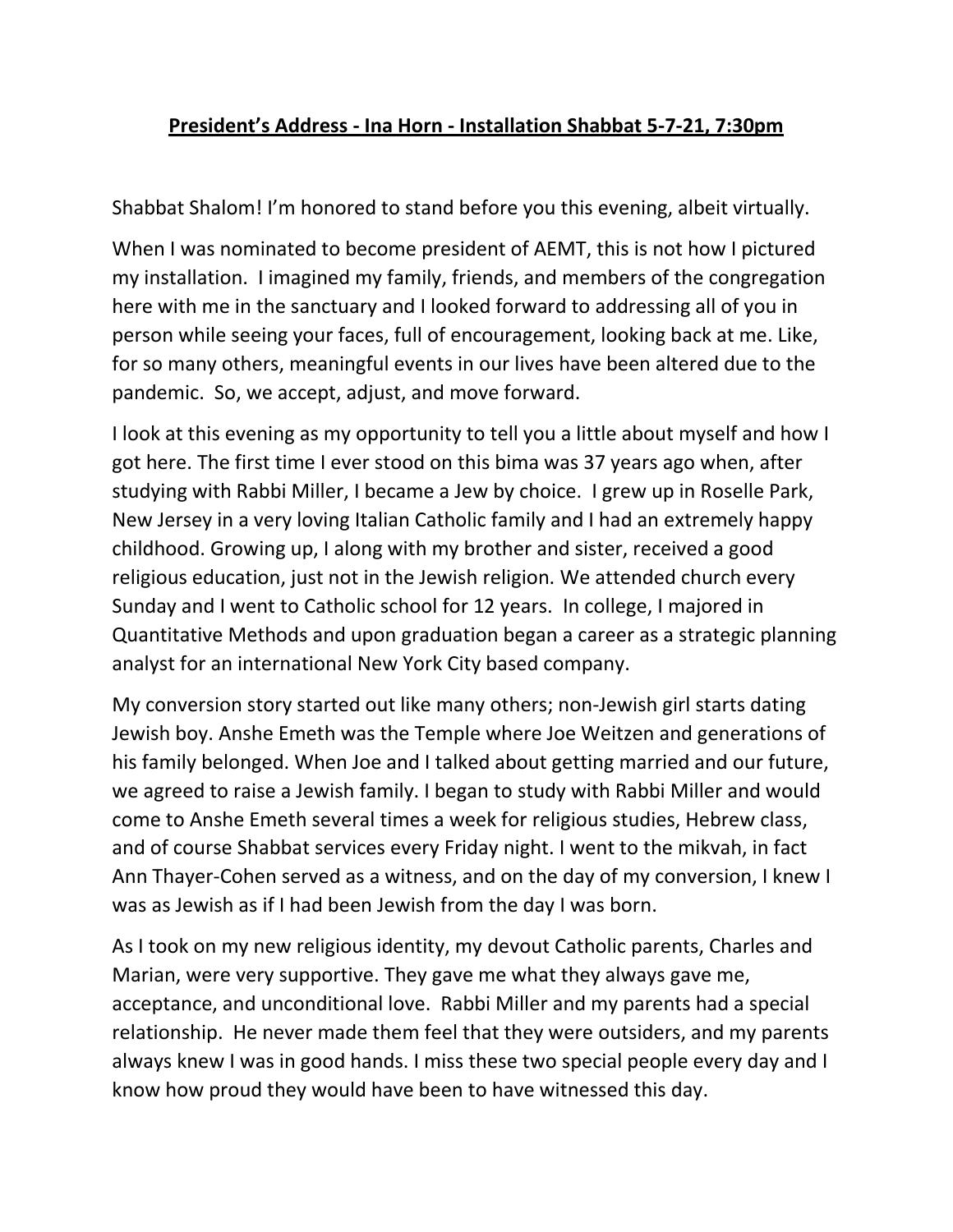## **President's Address - Ina Horn - Installation Shabbat 5-7-21, 7:30pm**

Shabbat Shalom! I'm honored to stand before you this evening, albeit virtually.

When I was nominated to become president of AEMT, this is not how I pictured my installation. I imagined my family, friends, and members of the congregation here with me in the sanctuary and I looked forward to addressing all of you in person while seeing your faces, full of encouragement, looking back at me. Like, for so many others, meaningful events in our lives have been altered due to the pandemic. So, we accept, adjust, and move forward.

I look at this evening as my opportunity to tell you a little about myself and how I got here. The first time I ever stood on this bima was 37 years ago when, after studying with Rabbi Miller, I became a Jew by choice. I grew up in Roselle Park, New Jersey in a very loving Italian Catholic family and I had an extremely happy childhood. Growing up, I along with my brother and sister, received a good religious education, just not in the Jewish religion. We attended church every Sunday and I went to Catholic school for 12 years. In college, I majored in Quantitative Methods and upon graduation began a career as a strategic planning analyst for an international New York City based company.

My conversion story started out like many others; non-Jewish girl starts dating Jewish boy. Anshe Emeth was the Temple where Joe Weitzen and generations of his family belonged. When Joe and I talked about getting married and our future, we agreed to raise a Jewish family. I began to study with Rabbi Miller and would come to Anshe Emeth several times a week for religious studies, Hebrew class, and of course Shabbat services every Friday night. I went to the mikvah, in fact Ann Thayer-Cohen served as a witness, and on the day of my conversion, I knew I was as Jewish as if I had been Jewish from the day I was born.

As I took on my new religious identity, my devout Catholic parents, Charles and Marian, were very supportive. They gave me what they always gave me, acceptance, and unconditional love. Rabbi Miller and my parents had a special relationship. He never made them feel that they were outsiders, and my parents always knew I was in good hands. I miss these two special people every day and I know how proud they would have been to have witnessed this day.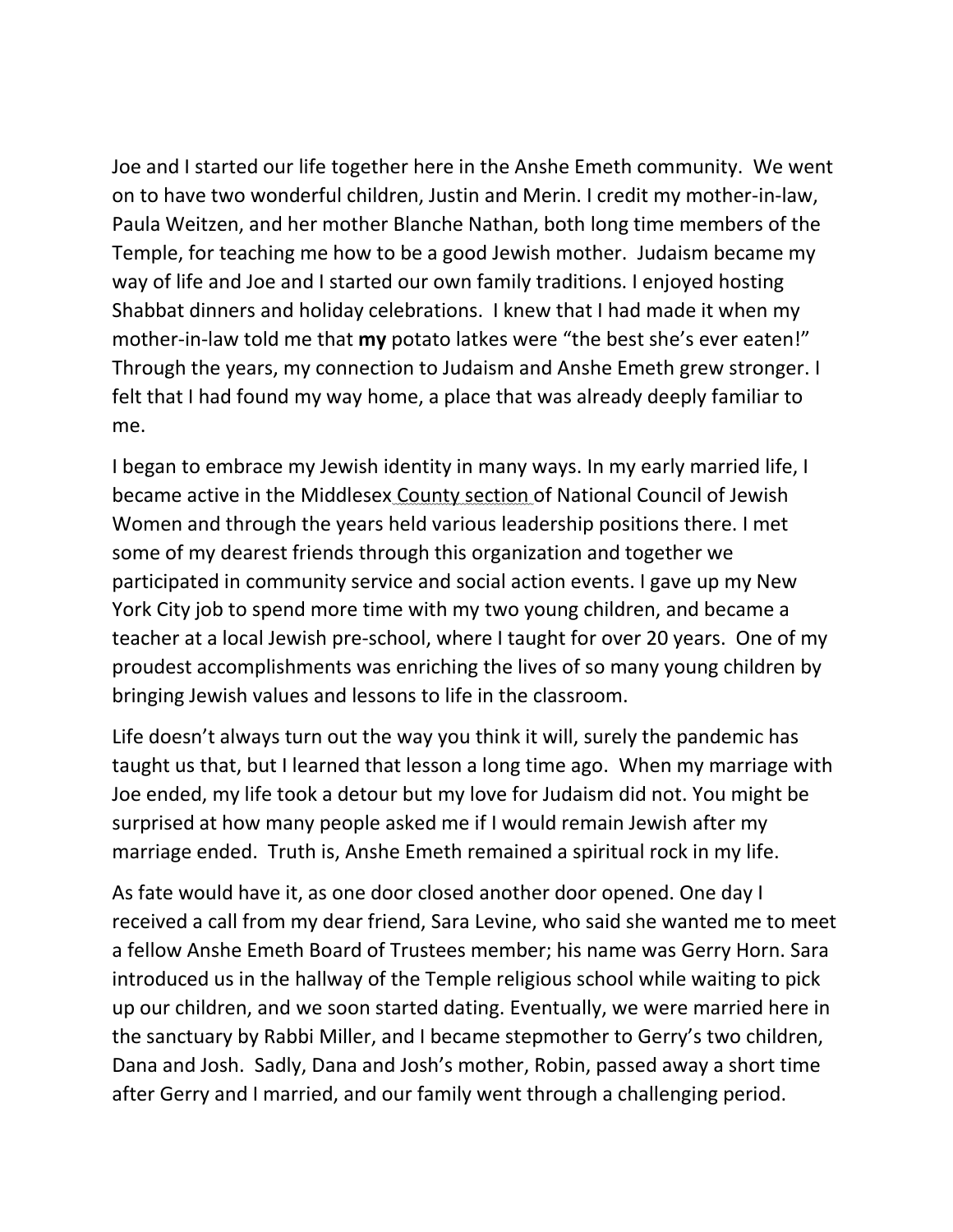Joe and I started our life together here in the Anshe Emeth community. We went on to have two wonderful children, Justin and Merin. I credit my mother-in-law, Paula Weitzen, and her mother Blanche Nathan, both long time members of the Temple, for teaching me how to be a good Jewish mother. Judaism became my way of life and Joe and I started our own family traditions. I enjoyed hosting Shabbat dinners and holiday celebrations. I knew that I had made it when my mother-in-law told me that **my** potato latkes were "the best she's ever eaten!" Through the years, my connection to Judaism and Anshe Emeth grew stronger. I felt that I had found my way home, a place that was already deeply familiar to me.

I began to embrace my Jewish identity in many ways. In my early married life, I became active in the Middlesex County section of National Council of Jewish Women and through the years held various leadership positions there. I met some of my dearest friends through this organization and together we participated in community service and social action events. I gave up my New York City job to spend more time with my two young children, and became a teacher at a local Jewish pre-school, where I taught for over 20 years. One of my proudest accomplishments was enriching the lives of so many young children by bringing Jewish values and lessons to life in the classroom.

Life doesn't always turn out the way you think it will, surely the pandemic has taught us that, but I learned that lesson a long time ago. When my marriage with Joe ended, my life took a detour but my love for Judaism did not. You might be surprised at how many people asked me if I would remain Jewish after my marriage ended. Truth is, Anshe Emeth remained a spiritual rock in my life.

As fate would have it, as one door closed another door opened. One day I received a call from my dear friend, Sara Levine, who said she wanted me to meet a fellow Anshe Emeth Board of Trustees member; his name was Gerry Horn. Sara introduced us in the hallway of the Temple religious school while waiting to pick up our children, and we soon started dating. Eventually, we were married here in the sanctuary by Rabbi Miller, and I became stepmother to Gerry's two children, Dana and Josh. Sadly, Dana and Josh's mother, Robin, passed away a short time after Gerry and I married, and our family went through a challenging period.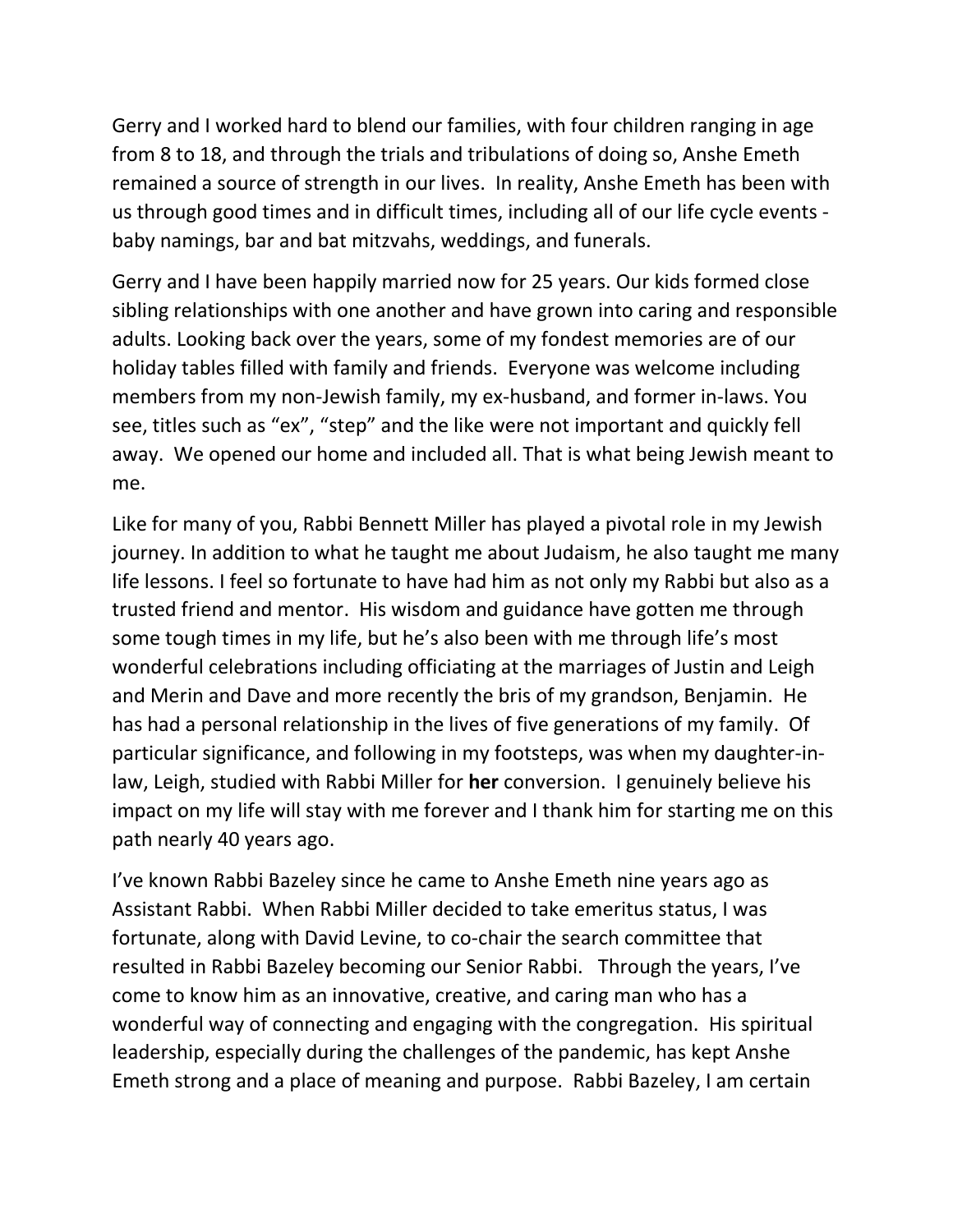Gerry and I worked hard to blend our families, with four children ranging in age from 8 to 18, and through the trials and tribulations of doing so, Anshe Emeth remained a source of strength in our lives. In reality, Anshe Emeth has been with us through good times and in difficult times, including all of our life cycle events baby namings, bar and bat mitzvahs, weddings, and funerals.

Gerry and I have been happily married now for 25 years. Our kids formed close sibling relationships with one another and have grown into caring and responsible adults. Looking back over the years, some of my fondest memories are of our holiday tables filled with family and friends. Everyone was welcome including members from my non-Jewish family, my ex-husband, and former in-laws. You see, titles such as "ex", "step" and the like were not important and quickly fell away. We opened our home and included all. That is what being Jewish meant to me.

Like for many of you, Rabbi Bennett Miller has played a pivotal role in my Jewish journey. In addition to what he taught me about Judaism, he also taught me many life lessons. I feel so fortunate to have had him as not only my Rabbi but also as a trusted friend and mentor. His wisdom and guidance have gotten me through some tough times in my life, but he's also been with me through life's most wonderful celebrations including officiating at the marriages of Justin and Leigh and Merin and Dave and more recently the bris of my grandson, Benjamin. He has had a personal relationship in the lives of five generations of my family. Of particular significance, and following in my footsteps, was when my daughter-inlaw, Leigh, studied with Rabbi Miller for **her** conversion. I genuinely believe his impact on my life will stay with me forever and I thank him for starting me on this path nearly 40 years ago.

I've known Rabbi Bazeley since he came to Anshe Emeth nine years ago as Assistant Rabbi. When Rabbi Miller decided to take emeritus status, I was fortunate, along with David Levine, to co-chair the search committee that resulted in Rabbi Bazeley becoming our Senior Rabbi. Through the years, I've come to know him as an innovative, creative, and caring man who has a wonderful way of connecting and engaging with the congregation. His spiritual leadership, especially during the challenges of the pandemic, has kept Anshe Emeth strong and a place of meaning and purpose. Rabbi Bazeley, I am certain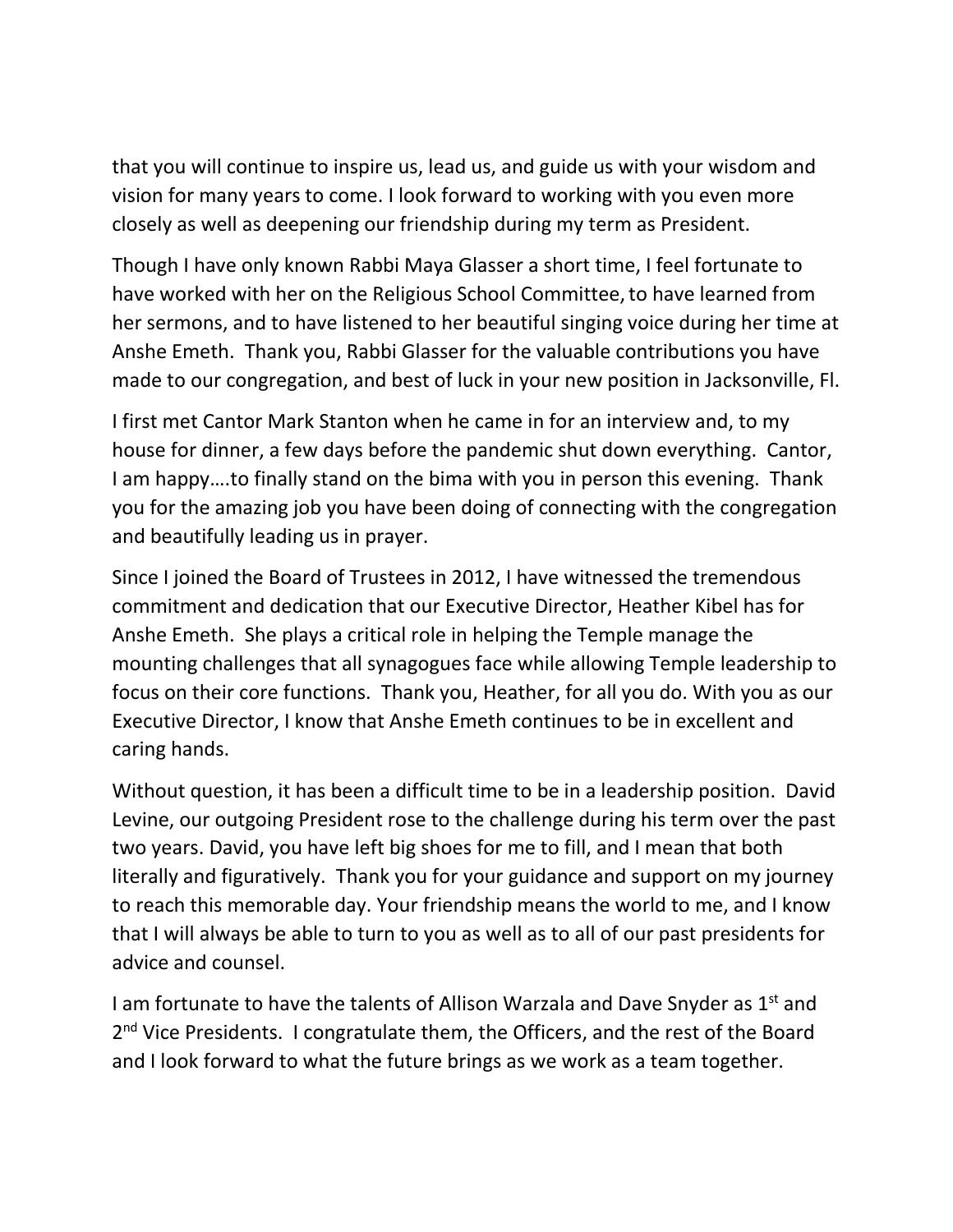that you will continue to inspire us, lead us, and guide us with your wisdom and vision for many years to come. I look forward to working with you even more closely as well as deepening our friendship during my term as President.

Though I have only known Rabbi Maya Glasser a short time, I feel fortunate to have worked with her on the Religious School Committee,to have learned from her sermons, and to have listened to her beautiful singing voice during her time at Anshe Emeth. Thank you, Rabbi Glasser for the valuable contributions you have made to our congregation, and best of luck in your new position in Jacksonville, Fl.

I first met Cantor Mark Stanton when he came in for an interview and, to my house for dinner, a few days before the pandemic shut down everything. Cantor, I am happy….to finally stand on the bima with you in person this evening. Thank you for the amazing job you have been doing of connecting with the congregation and beautifully leading us in prayer.

Since I joined the Board of Trustees in 2012, I have witnessed the tremendous commitment and dedication that our Executive Director, Heather Kibel has for Anshe Emeth. She plays a critical role in helping the Temple manage the mounting challenges that all synagogues face while allowing Temple leadership to focus on their core functions. Thank you, Heather, for all you do. With you as our Executive Director, I know that Anshe Emeth continues to be in excellent and caring hands.

Without question, it has been a difficult time to be in a leadership position. David Levine, our outgoing President rose to the challenge during his term over the past two years. David, you have left big shoes for me to fill, and I mean that both literally and figuratively. Thank you for your guidance and support on my journey to reach this memorable day. Your friendship means the world to me, and I know that I will always be able to turn to you as well as to all of our past presidents for advice and counsel.

I am fortunate to have the talents of Allison Warzala and Dave Snyder as  $1<sup>st</sup>$  and 2<sup>nd</sup> Vice Presidents. I congratulate them, the Officers, and the rest of the Board and I look forward to what the future brings as we work as a team together.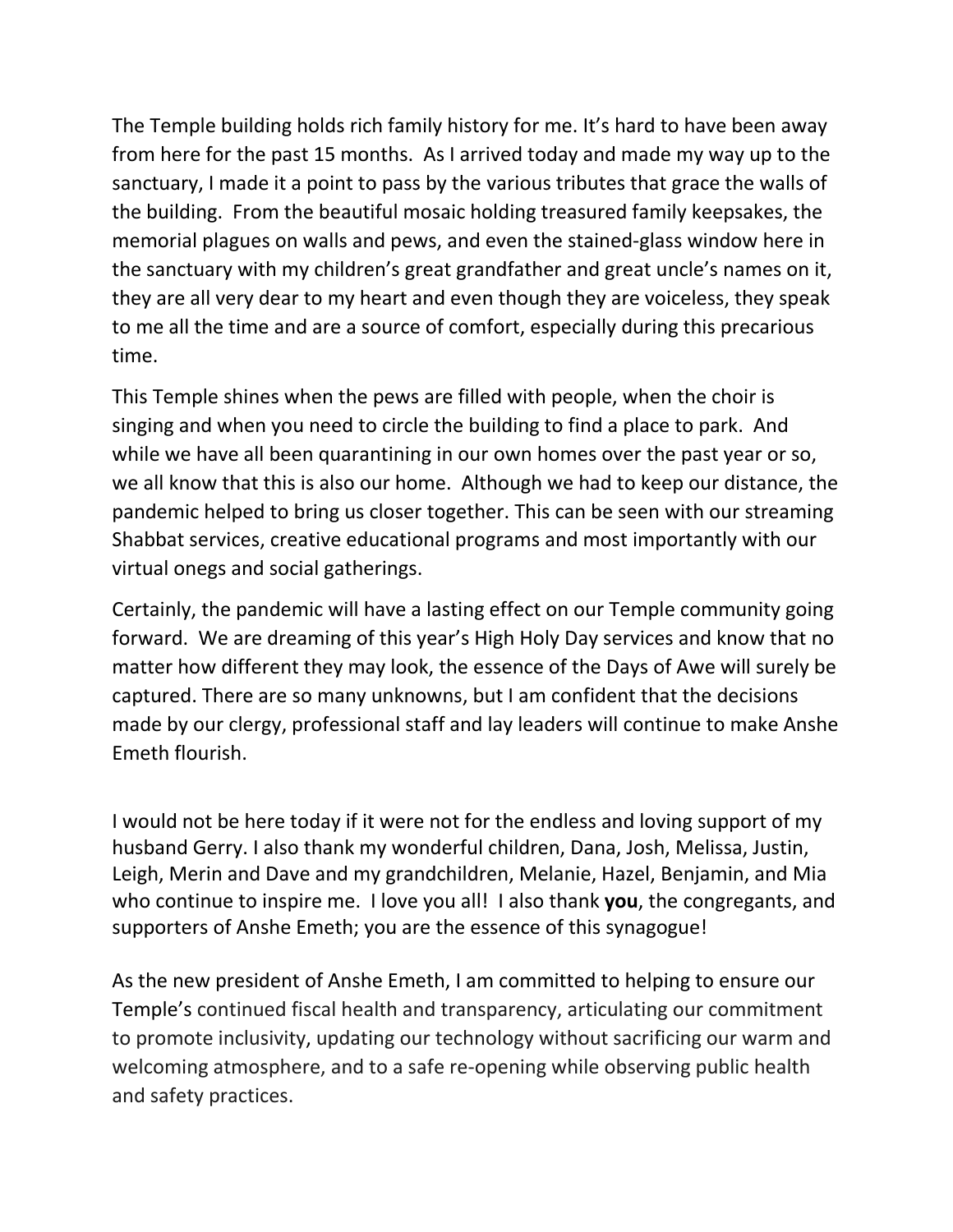The Temple building holds rich family history for me. It's hard to have been away from here for the past 15 months. As I arrived today and made my way up to the sanctuary, I made it a point to pass by the various tributes that grace the walls of the building. From the beautiful mosaic holding treasured family keepsakes, the memorial plagues on walls and pews, and even the stained-glass window here in the sanctuary with my children's great grandfather and great uncle's names on it, they are all very dear to my heart and even though they are voiceless, they speak to me all the time and are a source of comfort, especially during this precarious time.

This Temple shines when the pews are filled with people, when the choir is singing and when you need to circle the building to find a place to park. And while we have all been quarantining in our own homes over the past year or so, we all know that this is also our home. Although we had to keep our distance, the pandemic helped to bring us closer together. This can be seen with our streaming Shabbat services, creative educational programs and most importantly with our virtual onegs and social gatherings.

Certainly, the pandemic will have a lasting effect on our Temple community going forward. We are dreaming of this year's High Holy Day services and know that no matter how different they may look, the essence of the Days of Awe will surely be captured. There are so many unknowns, but I am confident that the decisions made by our clergy, professional staff and lay leaders will continue to make Anshe Emeth flourish.

I would not be here today if it were not for the endless and loving support of my husband Gerry. I also thank my wonderful children, Dana, Josh, Melissa, Justin, Leigh, Merin and Dave and my grandchildren, Melanie, Hazel, Benjamin, and Mia who continue to inspire me. I love you all! I also thank **you**, the congregants, and supporters of Anshe Emeth; you are the essence of this synagogue!

As the new president of Anshe Emeth, I am committed to helping to ensure our Temple's continued fiscal health and transparency, articulating our commitment to promote inclusivity, updating our technology without sacrificing our warm and welcoming atmosphere, and to a safe re-opening while observing public health and safety practices.